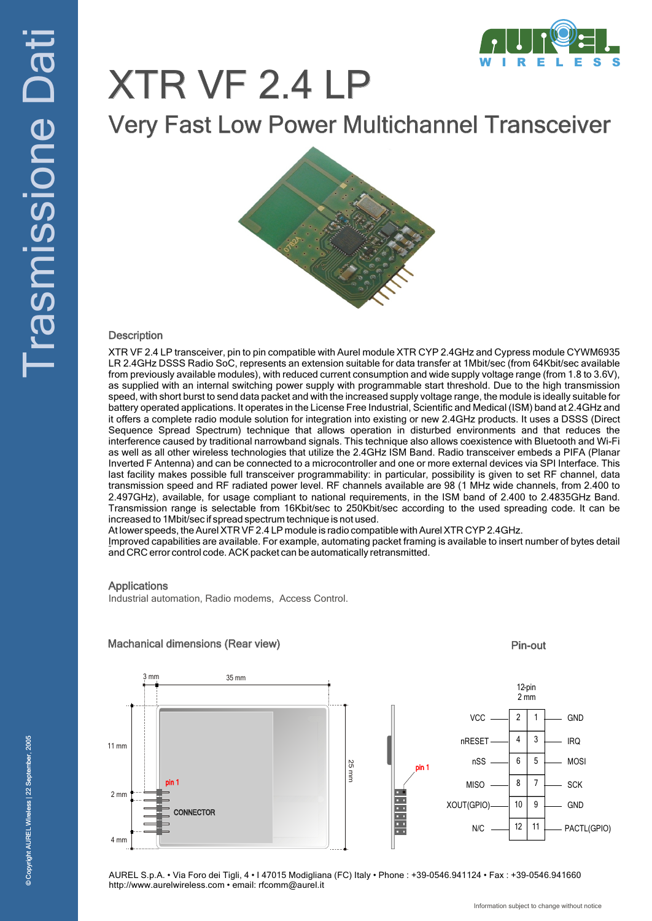

# XTR VF 2.4 LP

Very Fast Low Power Multichannel Transceiver

### **Description**

XTR VF 2.4 LP transceiver, pin to pin compatible with Aurel module XTR CYP 2.4GHz and Cypress module CYWM6935 LR 2.4GHz DSSS Radio SoC, represents an extension suitable for data transfer at 1Mbit/sec (from 64Kbit/sec available from previously available modules), with reduced current consumption and wide supply voltage range (from 1.8 to 3.6V), as supplied with an internal switching power supply with programmable start threshold. Due to the high transmission speed, with short burst to send data packet and with the increased supply voltage range, the module is ideally suitable for battery operated applications. It operates in the License Free Industrial, Scientific and Medical (ISM) band at 2.4GHz and it offers a complete radio module solution for integration into existing or new 2.4GHz products. It uses a DSSS (Direct Sequence Spread Spectrum) technique that allows operation in disturbed environments and that reduces the interference caused by traditional narrowband signals. This technique also allows coexistence with Bluetooth and Wi-Fi as well as all other wireless technologies that utilize the 2.4GHz ISM Band. Radio transceiver embeds a PIFA (Planar Inverted F Antenna) and can be connected to a microcontroller and one or more external devices via SPI Interface. This last facility makes possible full transceiver programmability: in particular, possibility is given to set RF channel, data transmission speed and RF radiated power level. RF channels available are 98 (1 MHz wide channels, from 2.400 to 2.497GHz), available, for usage compliant to national requirements, in the ISM band of 2.400 to 2.4835GHz Band. Transmission range is selectable from 16Kbit/sec to 250Kbit/sec according to the used spreading code. It can be increased to 1Mbit/sec if spread spectrum technique is not used.

At lower speeds, the Aurel XTR VF 2.4 LP module is radio compatible with Aurel XTR CYP 2.4GHz.

Improved capabilities are available. For example, automating packet framing is available to insert number of bytes detail and CRC error control code. ACK packet can be automatically retransmitted.

### Applications

Industrial automation, Radio modems, Access Control.



### Machanical dimensions (Rear view)

AUREL S.p.A. • Via Foro dei Tigli, 4 • I 47015 Modigliana (FC) Italy • Phone : +39-0546.941124 • Fax : +39-0546.941660 http://www.aurelwireless.com • email: rfcomm@aurel.it

Pin-out